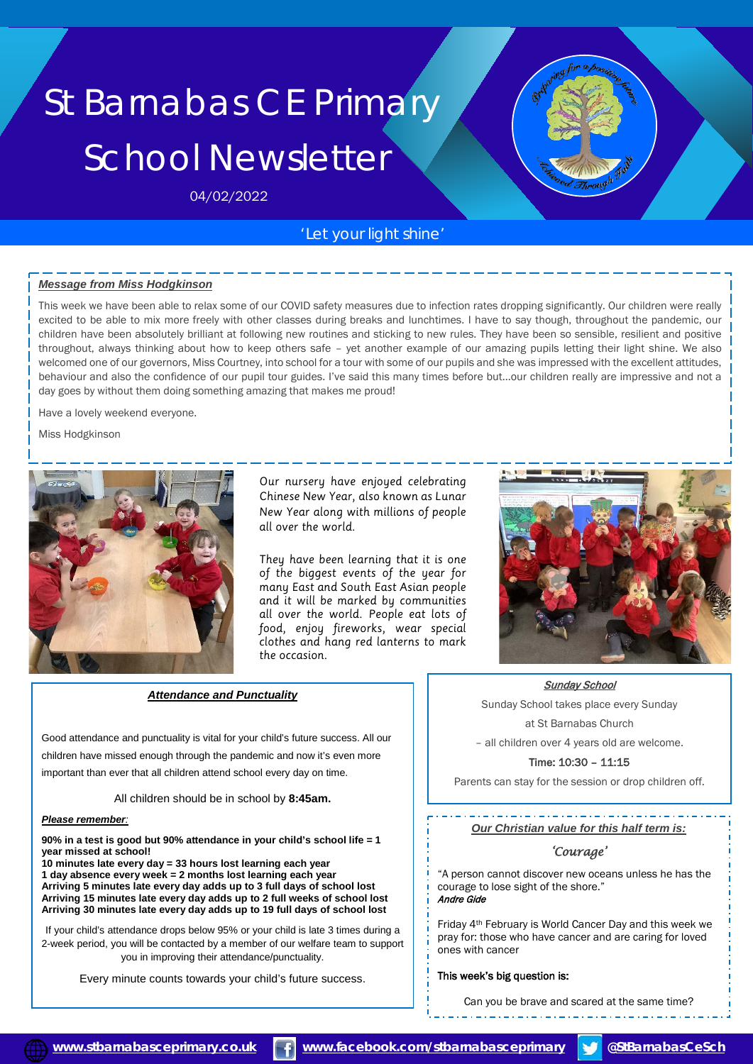# St Barnabas CE Primary School Newsletter

04/02/2022

## *'Let your light shine'*

### *Message from Miss Hodgkinson*

This week we have been able to relax some of our COVID safety measures due to infection rates dropping significantly. Our children were really excited to be able to mix more freely with other classes during breaks and lunchtimes. I have to say though, throughout the pandemic, our children have been absolutely brilliant at following new routines and sticking to new rules. They have been so sensible, resilient and positive throughout, always thinking about how to keep others safe – yet another example of our amazing pupils letting their light shine. We also welcomed one of our governors, Miss Courtney, into school for a tour with some of our pupils and she was impressed with the excellent attitudes, behaviour and also the confidence of our pupil tour guides. I've said this many times before but…our children really are impressive and not a day goes by without them doing something amazing that makes me proud!

Have a lovely weekend everyone.

Miss Hodgkinson



Our nursery have enjoued celebrating Chinese New Year, also known as Lunar New Year along with millions of people all over the world.

They have been learning that it is one of the biggest events of the year for many East and South East Asian people and it will be marked by communities all over the world. People eat lots of food, enjoy fireworks, wear special clothes and hang red lanterns to mark the occasion.



Good attendance and punctuality is vital for your child's future success. All our children have missed enough through the pandemic and now it's even more important than ever that all children attend school every day on time.

All children should be in school by **8:45am.**

#### *Please remember:*

**90% in a test is good but 90% attendance in your child's school life = 1 year missed at school!** 

**10 minutes late every day = 33 hours lost learning each year 1 day absence every week = 2 months lost learning each year Arriving 5 minutes late every day adds up to 3 full days of school lost Arriving 15 minutes late every day adds up to 2 full weeks of school lost Arriving 30 minutes late every day adds up to 19 full days of school lost**

If your child's attendance drops below 95% or your child is late 3 times during a 2-week period, you will be contacted by a member of our welfare team to support you in improving their attendance/punctuality.

Every minute counts towards your child's future success.



Sunday School

Sunday School takes place every Sunday at St Barnabas Church

– all children over 4 years old are welcome.

Time: 10:30 – 11:15

Parents can stay for the session or drop children off.

*Our Christian value for this half term is:* 

## *'Courage'*

"A person cannot discover new oceans unless he has the courage to lose sight of the shore." Andre Gide

Friday 4th February is World Cancer Day and this week we pray for: those who have cancer and are caring for loved ones with cancer

### This week's big question is:

Can you be brave and scared at the same time?